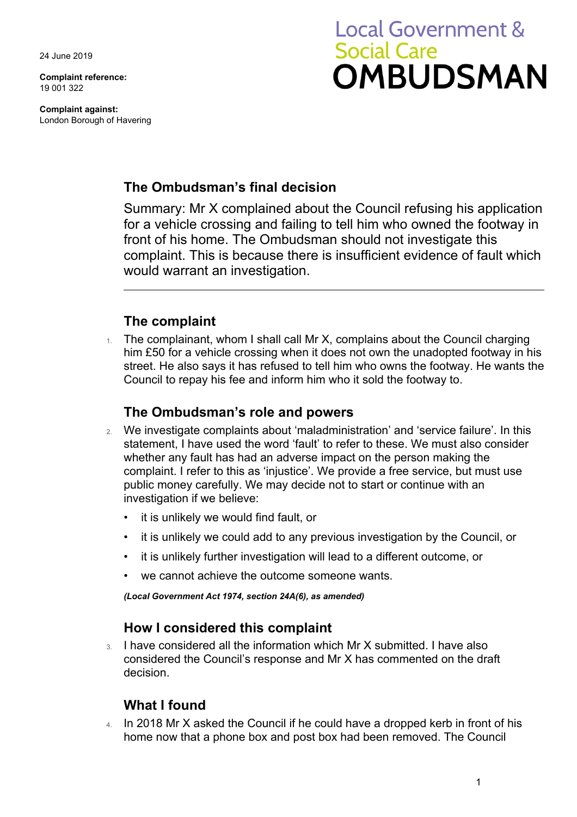24 June 2019

**Complaint reference:**  19 001 322

**Complaint against:**  London Borough of Havering

# **Local Government & Social Care** OMBUDSMAN

## **The Ombudsman's final decision**

Summary: Mr X complained about the Council refusing his application for a vehicle crossing and failing to tell him who owned the footway in front of his home. The Ombudsman should not investigate this complaint. This is because there is insufficient evidence of fault which would warrant an investigation.

## **The complaint**

 him £50 for a vehicle crossing when it does not own the unadopted footway in his street. He also says it has refused to tell him who owns the footway. He wants the The complainant, whom I shall call Mr X, complains about the Council charging Council to repay his fee and inform him who it sold the footway to.

### **The Ombudsman's role and powers**

- 2. We investigate complaints about 'maladministration' and 'service failure'. In this statement, I have used the word 'fault' to refer to these. We must also consider whether any fault has had an adverse impact on the person making the complaint. I refer to this as 'injustice'. We provide a free service, but must use public money carefully. We may decide not to start or continue with an investigation if we believe:
	- it is unlikely we would find fault, or
	- it is unlikely we could add to any previous investigation by the Council, or
	- it is unlikely further investigation will lead to a different outcome, or
	- we cannot achieve the outcome someone wants.

*(Local Government Act 1974, section 24A(6), as amended)* 

#### **How I considered this complaint**

3. I have considered all the information which Mr X submitted. I have also considered the Council's response and Mr X has commented on the draft decision.

#### **What I found**

 4. In 2018 Mr X asked the Council if he could have a dropped kerb in front of his home now that a phone box and post box had been removed. The Council